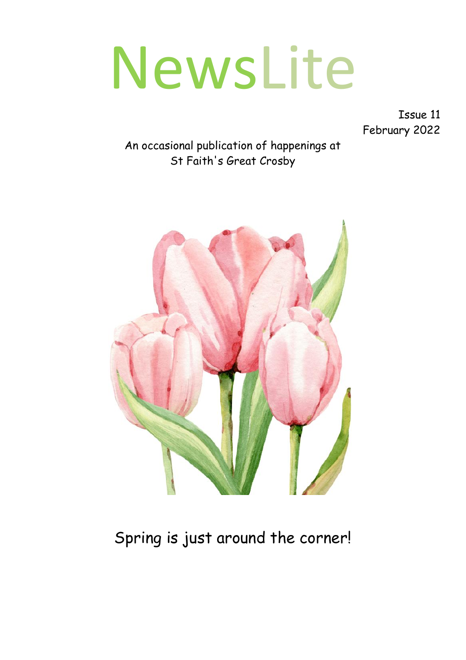# NewsLite

Issue 11 February 2022

An occasional publication of happenings at St Faith's Great Crosby



## Spring is just around the corner!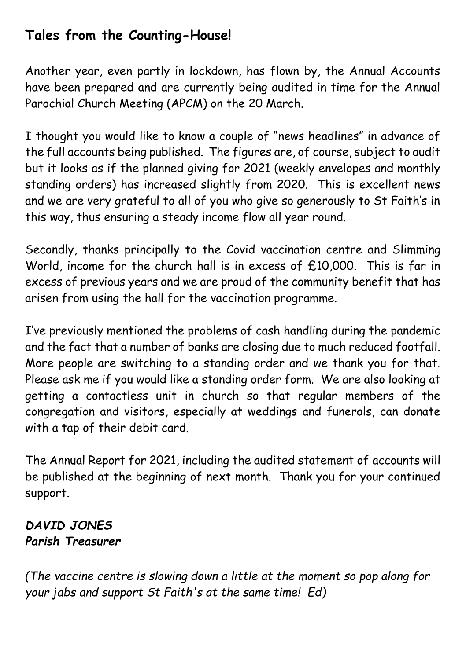#### **Tales from the Counting-House!**

Another year, even partly in lockdown, has flown by, the Annual Accounts have been prepared and are currently being audited in time for the Annual Parochial Church Meeting (APCM) on the 20 March.

I thought you would like to know a couple of "news headlines" in advance of the full accounts being published. The figures are, of course, subject to audit but it looks as if the planned giving for 2021 (weekly envelopes and monthly standing orders) has increased slightly from 2020. This is excellent news and we are very grateful to all of you who give so generously to St Faith's in this way, thus ensuring a steady income flow all year round.

Secondly, thanks principally to the Covid vaccination centre and Slimming World, income for the church hall is in excess of £10,000. This is far in excess of previous years and we are proud of the community benefit that has arisen from using the hall for the vaccination programme.

I've previously mentioned the problems of cash handling during the pandemic and the fact that a number of banks are closing due to much reduced footfall. More people are switching to a standing order and we thank you for that. Please ask me if you would like a standing order form. We are also looking at getting a contactless unit in church so that regular members of the congregation and visitors, especially at weddings and funerals, can donate with a tap of their debit card.

The Annual Report for 2021, including the audited statement of accounts will be published at the beginning of next month. Thank you for your continued support.

#### *DAVID JONES Parish Treasurer*

*(The vaccine centre is slowing down a little at the moment so pop along for your jabs and support St Faith's at the same time! Ed)*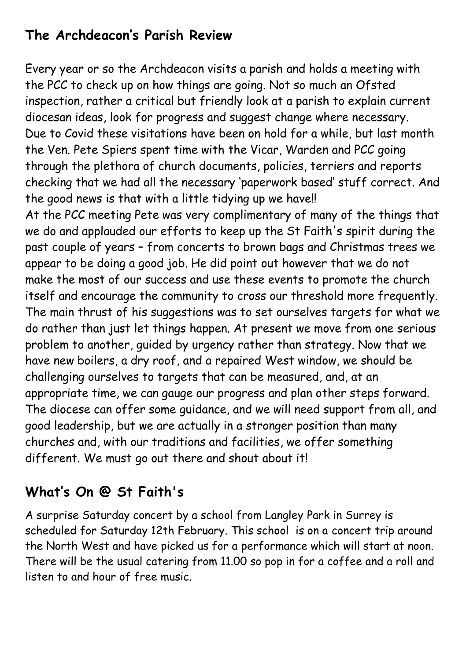#### **The Archdeacon's Parish Review**

Every year or so the Archdeacon visits a parish and holds a meeting with the PCC to check up on how things are going. Not so much an Ofsted inspection, rather a critical but friendly look at a parish to explain current diocesan ideas, look for progress and suggest change where necessary. Due to Covid these visitations have been on hold for a while, but last month the Ven. Pete Spiers spent time with the Vicar, Warden and PCC going through the plethora of church documents, policies, terriers and reports checking that we had all the necessary 'paperwork based' stuff correct. And the good news is that with a little tidying up we have!!

At the PCC meeting Pete was very complimentary of many of the things that we do and applauded our efforts to keep up the St Faith's spirit during the past couple of years – from concerts to brown bags and Christmas trees we appear to be doing a good job. He did point out however that we do not make the most of our success and use these events to promote the church itself and encourage the community to cross our threshold more frequently. The main thrust of his suggestions was to set ourselves targets for what we do rather than just let things happen. At present we move from one serious problem to another, guided by urgency rather than strategy. Now that we have new boilers, a dry roof, and a repaired West window, we should be challenging ourselves to targets that can be measured, and, at an appropriate time, we can gauge our progress and plan other steps forward. The diocese can offer some guidance, and we will need support from all, and good leadership, but we are actually in a stronger position than many churches and, with our traditions and facilities, we offer something different. We must go out there and shout about it!

### **What's On @ St Faith's**

A surprise Saturday concert by a school from Langley Park in Surrey is scheduled for Saturday 12th February. This school is on a concert trip around the North West and have picked us for a performance which will start at noon. There will be the usual catering from 11.00 so pop in for a coffee and a roll and listen to and hour of free music.